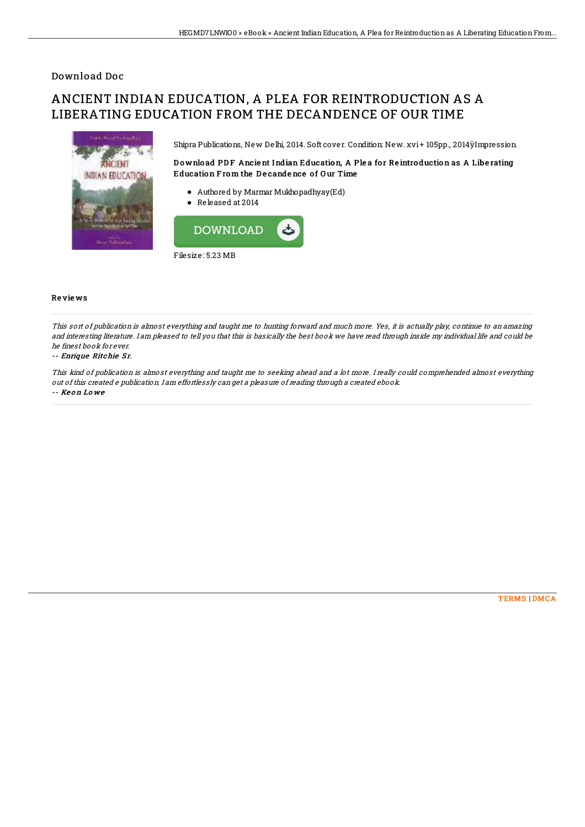## Download Doc

# ANCIENT INDIAN EDUCATION, A PLEA FOR REINTRODUCTION AS A LIBERATING EDUCATION FROM THE DECANDENCE OF OUR TIME



Shipra Publications, New Delhi, 2014. Soft cover. Condition: New. xvi + 105pp., 2014ÿImpression.

### Download PDF Ancient Indian Education, A Plea for Reintroduction as A Liberating Education From the Decandence of Our Time

- Authored by Marmar Mukhopadhyay(Ed)
- Released at 2014



#### Re vie ws

This sort of publication is almost everything and taught me to hunting forward and much more. Yes, it is actually play, continue to an amazing and interesting literature. I am pleased to tell you that this is basically the best book we have read through inside my individual life and could be he finest book for ever.

#### -- Enrique Ritchie Sr.

This kind of publication is almost everything and taught me to seeking ahead and <sup>a</sup> lot more. I really could comprehended almost everything out of this created <sup>e</sup> publication. I am effortlessly can get <sup>a</sup> pleasure of reading through <sup>a</sup> created ebook. -- Ke o n Lo we